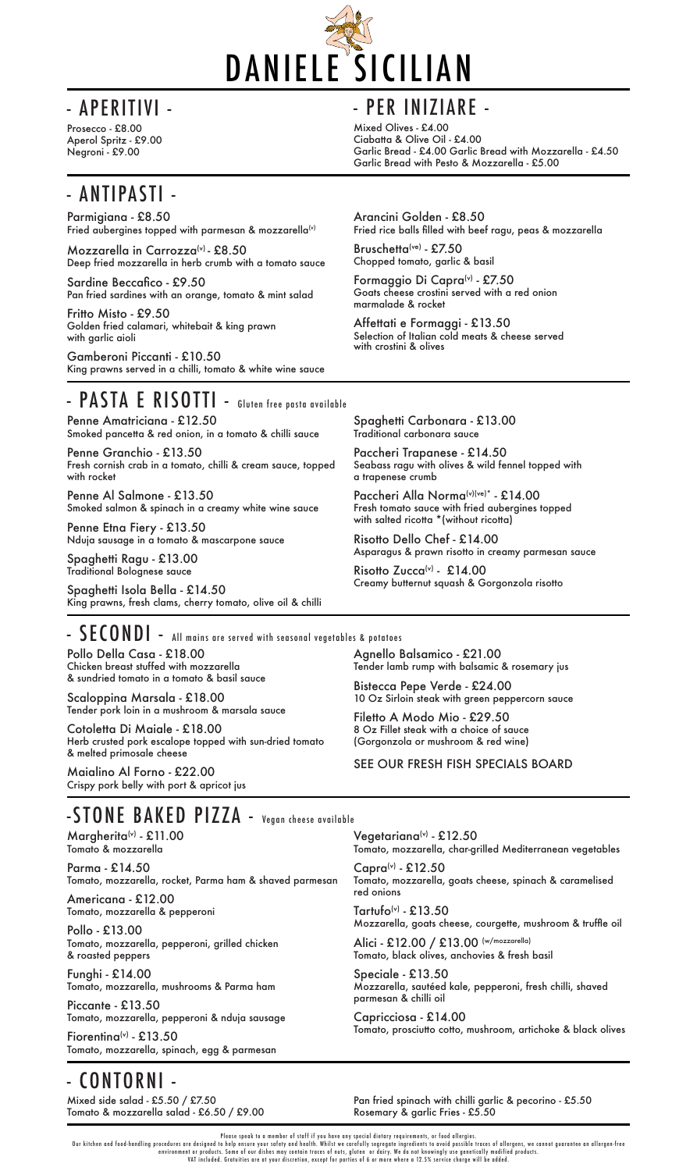

Mixed Olives - £4.00 Ciabatta & Olive Oil - £4.00 Garlic Bread - £4.00 Garlic Bread with Mozzarella - £4.50 Garlic Bread with Pesto & Mozzarella - £5.00

Prosecco - £8.00 Aperol Spritz - £9.00 Negroni - £9.00

# - ANTIPASTI -

Please speak to a member of staff if you have any special dietary requirements, or food allergies.

Our kitchen and food-handling procedures are designed to help ensure your safety and health. Whilst we carefully segregate ingredients to avoid possible traces of allergens, we cannot guarantee an allergen-free environment or products. Some of our dishes may contain traces of nuts, gluten or dairy. We do not knowingly use genetically modified products. VAT included. Gratuities are at your discretion, except for parties of 6 or more where a 12.5% service charge will be added.

 $Margherita<sup>(v)</sup> - £11.00$ Tomato & mozzarella

Pollo Della Casa - £18.00 Chicken breast stuffed with mozzarella & sundried tomato in a tomato & basil sauce

Fiorenting<sup>(v)</sup> - £13.50 Tomato, mozzarella, spinach, egg & parmesan

Scaloppina Marsala - £18.00 Tender pork loin in a mushroom & marsala sauce

> Vegetariana $(v)$  - £12.50 Tomato, mozzarella, char-grilled Mediterranean vegetables

 $Capra<sup>(v)</sup> - £12.50$ Tomato, mozzarella, goats cheese, spinach & caramelised

Cotoletta Di Maiale - £18.00 Herb crusted pork escalope topped with sun-dried tomato & melted primosale cheese

> Tartufo(v) -  $£13.50$ Mozzarella, goats cheese, courgette, mushroom & truffle oil Alici - £12.00 / £13.00 (w/mozzarella) Tomato, black olives, anchovies & fresh basil

Maialino Al Forno - £22.00 Crispy pork belly with port & apricot jus Agnello Balsamico - £21.00 Tender lamb rump with balsamic & rosemary jus

Bistecca Pepe Verde - £24.00 10 Oz Sirloin steak with green peppercorn sauce

Filetto A Modo Mio - £29.50 8 Oz Fillet steak with a choice of sauce (Gorgonzola or mushroom & red wine)

SEE OUR FRESH FISH SPECIALS BOARD

## -S T ONE BAKED PIZZA - Vegan cheese available

Parma - £14.50 Tomato, mozzarella, rocket, Parma ham & shaved parmesan

Americana - £12.00 Tomato, mozzarella & pepperoni Paccheri Alla Norma(v)(ve)\* - £14.00 Fresh tomato sauce with fried aubergines topped with salted ricotta \*(without ricotta)

Pollo - £13.00 Tomato, mozzarella, pepperoni, grilled chicken & roasted peppers

Risotto Zucca<sup>(v)</sup> - £14.00 Creamy butternut squash & Gorgonzola risotto

- SECONDI - All mains are served with seasonal vegetables & potatoes

Parmigiana - £8.50 Fried aubergines topped with parmesan & mozzarella<sup>(v)</sup>

Funghi - £14.00 Tomato, mozzarella, mushrooms & Parma ham

Mozzarella in Carrozza<sup>(v)</sup> - £8.50 Deep fried mozzarella in herb crumb with a tomato sauce

Piccante - £13.50 Tomato, mozzarella, pepperoni & nduja sausage Bruschetta(ve) - £7.50 Chopped tomato, garlic & basil

red onions

Speciale - £13.50 Mozzarella, sautéed kale, pepperoni, fresh chilli, shaved parmesan & chilli oil

Capricciosa - £14.00 Tomato, prosciutto cotto, mushroom, artichoke & black olives

#### - CONTORNI -

Mixed side salad - £5.50 / £7.50 Tomato & mozzarella salad - £6.50 / £9.00 Pan fried spinach with chilli garlic & pecorino - £5.50 Rosemary & garlic Fries - £5.50

Penne Amatriciana - £12.50 Smoked pancetta & red onion, in a tomato & chilli sauce

Penne Granchio - £13.50 Fresh cornish crab in a tomato, chilli & cream sauce, topped with rocket

Penne Al Salmone - £13.50 Smoked salmon & spinach in a creamy white wine sauce

Penne Etna Fiery - £13.50 Nduja sausage in a tomato & mascarpone sauce

Spaghetti Ragu - £13.00 Traditional Bolognese sauce

Spaghetti Isola Bella - £14.50 King prawns, fresh clams, cherry tomato, olive oil & chilli

# - APERITIVI - THE RINIZIARE -

Spaghetti Carbonara - £13.00 Traditional carbonara sauce

Paccheri Trapanese - £14.50 Seabass ragu with olives & wild fennel topped with a trapenese crumb

Risotto Dello Chef - £14.00 Asparagus & prawn risotto in creamy parmesan sauce

Sardine Beccafico - £9.50 Pan fried sardines with an orange, tomato & mint salad

Fritto Misto - £9.50 Golden fried calamari, whitebait & king prawn with garlic aioli

Gamberoni Piccanti - £10.50 King prawns served in a chilli, tomato & white wine sauce

## - PASTA E RISOTTI - Gluten free pasta available

Arancini Golden - £8.50 Fried rice balls filled with beef ragu, peas & mozzarella

Formaggio Di Capra(v) - £7.50 Goats cheese crostini served with a red onion marmalade & rocket

Affettati e Formaggi - £13.50 Selection of Italian cold meats & cheese served with crostini & olives